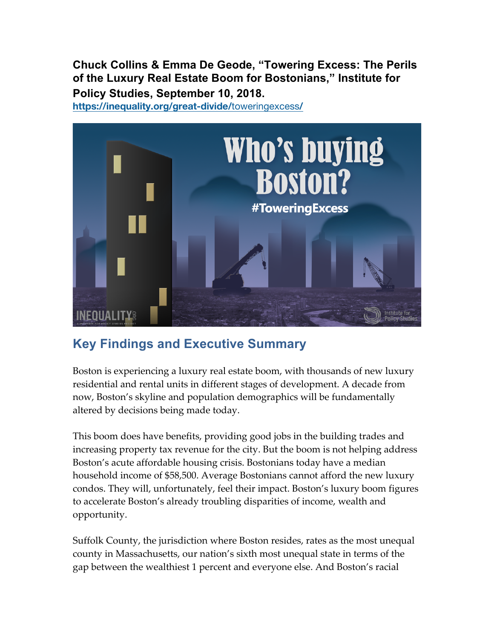**Chuck Collins & Emma De Geode, "Towering Excess: The Perils of the Luxury Real Estate Boom for Bostonians," Institute for Policy Studies, September 10, 2018.**

**https://inequality.org/great-divide/**toweringexcess**/**



## **Key Findings and Executive Summary**

Boston is experiencing a luxury real estate boom, with thousands of new luxury residential and rental units in different stages of development. A decade from now, Boston's skyline and population demographics will be fundamentally altered by decisions being made today.

This boom does have benefits, providing good jobs in the building trades and increasing property tax revenue for the city. But the boom is not helping address Boston's acute affordable housing crisis. Bostonians today have a median household income of \$58,500. Average Bostonians cannot afford the new luxury condos. They will, unfortunately, feel their impact. Boston's luxury boom figures to accelerate Boston's already troubling disparities of income, wealth and opportunity.

Suffolk County, the jurisdiction where Boston resides, rates as the most unequal county in Massachusetts, our nation's sixth most unequal state in terms of the gap between the wealthiest 1 percent and everyone else. And Boston's racial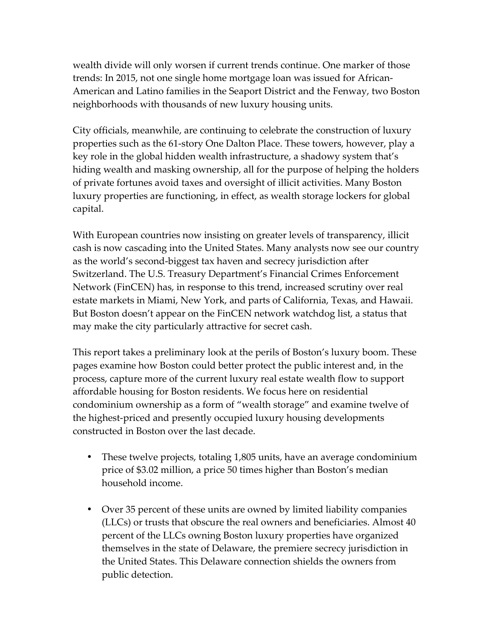wealth divide will only worsen if current trends continue. One marker of those trends: In 2015, not one single home mortgage loan was issued for African-American and Latino families in the Seaport District and the Fenway, two Boston neighborhoods with thousands of new luxury housing units.

City officials, meanwhile, are continuing to celebrate the construction of luxury properties such as the 61-story One Dalton Place. These towers, however, play a key role in the global hidden wealth infrastructure, a shadowy system that's hiding wealth and masking ownership, all for the purpose of helping the holders of private fortunes avoid taxes and oversight of illicit activities. Many Boston luxury properties are functioning, in effect, as wealth storage lockers for global capital.

With European countries now insisting on greater levels of transparency, illicit cash is now cascading into the United States. Many analysts now see our country as the world's second-biggest tax haven and secrecy jurisdiction after Switzerland. The U.S. Treasury Department's Financial Crimes Enforcement Network (FinCEN) has, in response to this trend, increased scrutiny over real estate markets in Miami, New York, and parts of California, Texas, and Hawaii. But Boston doesn't appear on the FinCEN network watchdog list, a status that may make the city particularly attractive for secret cash.

This report takes a preliminary look at the perils of Boston's luxury boom. These pages examine how Boston could better protect the public interest and, in the process, capture more of the current luxury real estate wealth flow to support affordable housing for Boston residents. We focus here on residential condominium ownership as a form of "wealth storage" and examine twelve of the highest-priced and presently occupied luxury housing developments constructed in Boston over the last decade.

- These twelve projects, totaling 1,805 units, have an average condominium price of \$3.02 million, a price 50 times higher than Boston's median household income.
- Over 35 percent of these units are owned by limited liability companies (LLCs) or trusts that obscure the real owners and beneficiaries. Almost 40 percent of the LLCs owning Boston luxury properties have organized themselves in the state of Delaware, the premiere secrecy jurisdiction in the United States. This Delaware connection shields the owners from public detection.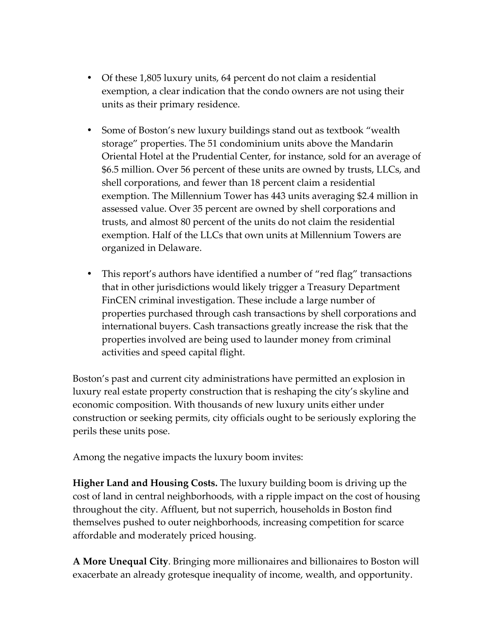- Of these 1,805 luxury units, 64 percent do not claim a residential exemption, a clear indication that the condo owners are not using their units as their primary residence.
- Some of Boston's new luxury buildings stand out as textbook "wealth" storage" properties. The 51 condominium units above the Mandarin Oriental Hotel at the Prudential Center, for instance, sold for an average of \$6.5 million. Over 56 percent of these units are owned by trusts, LLCs, and shell corporations, and fewer than 18 percent claim a residential exemption. The Millennium Tower has 443 units averaging \$2.4 million in assessed value. Over 35 percent are owned by shell corporations and trusts, and almost 80 percent of the units do not claim the residential exemption. Half of the LLCs that own units at Millennium Towers are organized in Delaware.
- This report's authors have identified a number of "red flag" transactions that in other jurisdictions would likely trigger a Treasury Department FinCEN criminal investigation. These include a large number of properties purchased through cash transactions by shell corporations and international buyers. Cash transactions greatly increase the risk that the properties involved are being used to launder money from criminal activities and speed capital flight.

Boston's past and current city administrations have permitted an explosion in luxury real estate property construction that is reshaping the city's skyline and economic composition. With thousands of new luxury units either under construction or seeking permits, city officials ought to be seriously exploring the perils these units pose.

Among the negative impacts the luxury boom invites:

**Higher Land and Housing Costs.** The luxury building boom is driving up the cost of land in central neighborhoods, with a ripple impact on the cost of housing throughout the city. Affluent, but not superrich, households in Boston find themselves pushed to outer neighborhoods, increasing competition for scarce affordable and moderately priced housing.

**A More Unequal City**. Bringing more millionaires and billionaires to Boston will exacerbate an already grotesque inequality of income, wealth, and opportunity.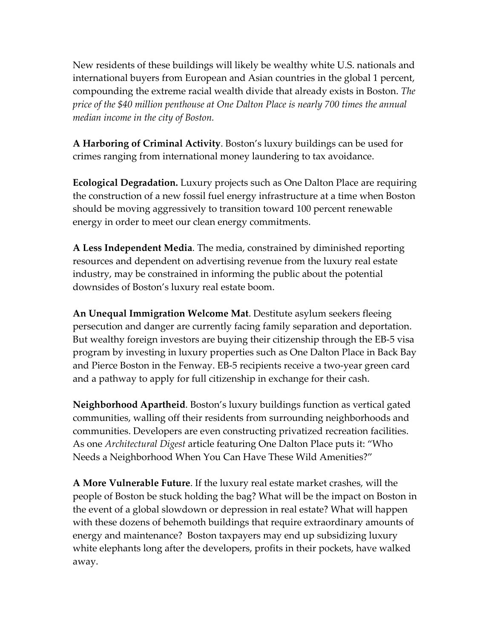New residents of these buildings will likely be wealthy white U.S. nationals and international buyers from European and Asian countries in the global 1 percent, compounding the extreme racial wealth divide that already exists in Boston. *The price of the \$40 million penthouse at One Dalton Place is nearly 700 times the annual median income in the city of Boston.*

**A Harboring of Criminal Activity**. Boston's luxury buildings can be used for crimes ranging from international money laundering to tax avoidance.

**Ecological Degradation.** Luxury projects such as One Dalton Place are requiring the construction of a new fossil fuel energy infrastructure at a time when Boston should be moving aggressively to transition toward 100 percent renewable energy in order to meet our clean energy commitments.

**A Less Independent Media**. The media, constrained by diminished reporting resources and dependent on advertising revenue from the luxury real estate industry, may be constrained in informing the public about the potential downsides of Boston's luxury real estate boom.

**An Unequal Immigration Welcome Mat**. Destitute asylum seekers fleeing persecution and danger are currently facing family separation and deportation. But wealthy foreign investors are buying their citizenship through the EB-5 visa program by investing in luxury properties such as One Dalton Place in Back Bay and Pierce Boston in the Fenway. EB-5 recipients receive a two-year green card and a pathway to apply for full citizenship in exchange for their cash.

**Neighborhood Apartheid**. Boston's luxury buildings function as vertical gated communities, walling off their residents from surrounding neighborhoods and communities. Developers are even constructing privatized recreation facilities. As one *Architectural Digest* article featuring One Dalton Place puts it: "Who Needs a Neighborhood When You Can Have These Wild Amenities?"

**A More Vulnerable Future**. If the luxury real estate market crashes, will the people of Boston be stuck holding the bag? What will be the impact on Boston in the event of a global slowdown or depression in real estate? What will happen with these dozens of behemoth buildings that require extraordinary amounts of energy and maintenance? Boston taxpayers may end up subsidizing luxury white elephants long after the developers, profits in their pockets, have walked away.